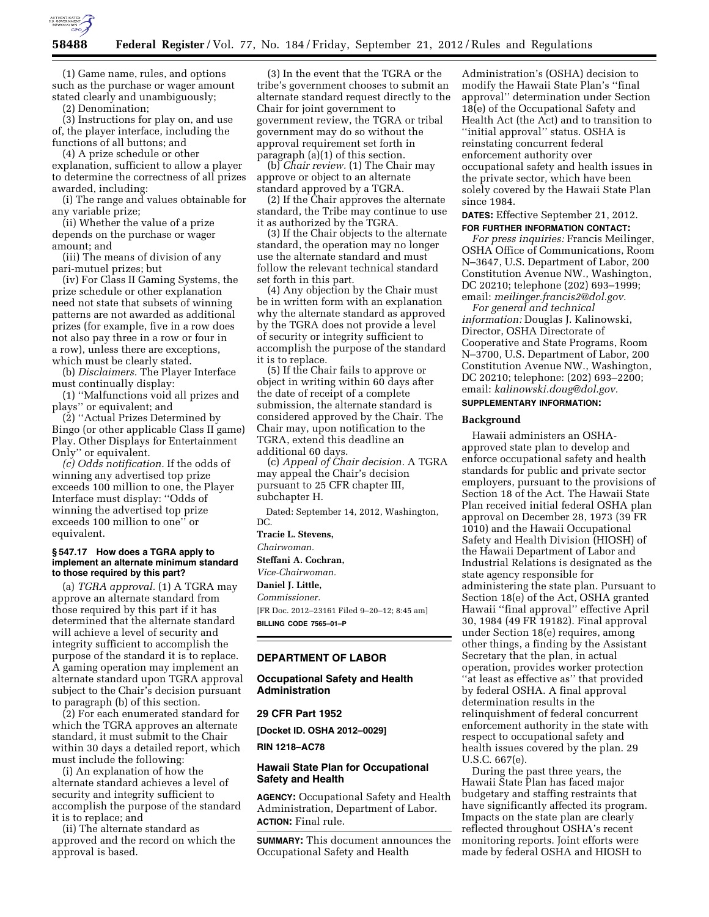

(1) Game name, rules, and options such as the purchase or wager amount stated clearly and unambiguously;

(2) Denomination;

(3) Instructions for play on, and use of, the player interface, including the functions of all buttons; and

(4) A prize schedule or other explanation, sufficient to allow a player to determine the correctness of all prizes awarded, including:

(i) The range and values obtainable for any variable prize;

(ii) Whether the value of a prize depends on the purchase or wager amount; and

(iii) The means of division of any pari-mutuel prizes; but

(iv) For Class II Gaming Systems, the prize schedule or other explanation need not state that subsets of winning patterns are not awarded as additional prizes (for example, five in a row does not also pay three in a row or four in a row), unless there are exceptions, which must be clearly stated.

(b) *Disclaimers.* The Player Interface must continually display:

(1) ''Malfunctions void all prizes and plays'' or equivalent; and

(2) ''Actual Prizes Determined by Bingo (or other applicable Class II game) Play. Other Displays for Entertainment Only'' or equivalent.

*(c) Odds notification.* If the odds of winning any advertised top prize exceeds 100 million to one, the Player Interface must display: ''Odds of winning the advertised top prize exceeds 100 million to one'' or equivalent.

### **§ 547.17 How does a TGRA apply to implement an alternate minimum standard to those required by this part?**

(a) *TGRA approval.* (1) A TGRA may approve an alternate standard from those required by this part if it has determined that the alternate standard will achieve a level of security and integrity sufficient to accomplish the purpose of the standard it is to replace. A gaming operation may implement an alternate standard upon TGRA approval subject to the Chair's decision pursuant to paragraph (b) of this section.

(2) For each enumerated standard for which the TGRA approves an alternate standard, it must submit to the Chair within 30 days a detailed report, which must include the following:

(i) An explanation of how the alternate standard achieves a level of security and integrity sufficient to accomplish the purpose of the standard it is to replace; and

(ii) The alternate standard as approved and the record on which the approval is based.

(3) In the event that the TGRA or the tribe's government chooses to submit an alternate standard request directly to the Chair for joint government to government review, the TGRA or tribal government may do so without the approval requirement set forth in paragraph (a)(1) of this section.

(b) *Chair review.* (1) The Chair may approve or object to an alternate standard approved by a TGRA.

(2) If the Chair approves the alternate standard, the Tribe may continue to use it as authorized by the TGRA.

(3) If the Chair objects to the alternate standard, the operation may no longer use the alternate standard and must follow the relevant technical standard set forth in this part.

(4) Any objection by the Chair must be in written form with an explanation why the alternate standard as approved by the TGRA does not provide a level of security or integrity sufficient to accomplish the purpose of the standard it is to replace.

(5) If the Chair fails to approve or object in writing within 60 days after the date of receipt of a complete submission, the alternate standard is considered approved by the Chair. The Chair may, upon notification to the TGRA, extend this deadline an additional 60 days.

(c) *Appeal of Chair decision.* A TGRA may appeal the Chair's decision pursuant to 25 CFR chapter III, subchapter H.

Dated: September 14, 2012, Washington, DC.

**Tracie L. Stevens,** 

*Chairwoman.* 

**Steffani A. Cochran,** 

*Vice-Chairwoman.* 

**Daniel J. Little,** 

*Commissioner.* 

[FR Doc. 2012–23161 Filed 9–20–12; 8:45 am] **BILLING CODE 7565–01–P** 

# **DEPARTMENT OF LABOR**

## **Occupational Safety and Health Administration**

### **29 CFR Part 1952**

**[Docket ID. OSHA 2012–0029]** 

**RIN 1218–AC78** 

## **Hawaii State Plan for Occupational Safety and Health**

**AGENCY:** Occupational Safety and Health Administration, Department of Labor. **ACTION:** Final rule.

**SUMMARY:** This document announces the Occupational Safety and Health

Administration's (OSHA) decision to modify the Hawaii State Plan's ''final approval'' determination under Section 18(e) of the Occupational Safety and Health Act (the Act) and to transition to ''initial approval'' status. OSHA is reinstating concurrent federal enforcement authority over occupational safety and health issues in the private sector, which have been solely covered by the Hawaii State Plan since 1984.

**DATES:** Effective September 21, 2012.

### **FOR FURTHER INFORMATION CONTACT:**

*For press inquiries:* Francis Meilinger, OSHA Office of Communications, Room N–3647, U.S. Department of Labor, 200 Constitution Avenue NW., Washington, DC 20210; telephone (202) 693–1999; email: *[meilinger.francis2@dol.gov.](mailto:meilinger.francis2@dol.gov)* 

*For general and technical information:* Douglas J. Kalinowski, Director, OSHA Directorate of Cooperative and State Programs, Room N–3700, U.S. Department of Labor, 200 Constitution Avenue NW., Washington, DC 20210; telephone: (202) 693–2200; email: *[kalinowski.doug@dol.gov.](mailto:kalinowski.doug@dol.gov)* 

# **SUPPLEMENTARY INFORMATION:**

#### **Background**

Hawaii administers an OSHAapproved state plan to develop and enforce occupational safety and health standards for public and private sector employers, pursuant to the provisions of Section 18 of the Act. The Hawaii State Plan received initial federal OSHA plan approval on December 28, 1973 (39 FR 1010) and the Hawaii Occupational Safety and Health Division (HIOSH) of the Hawaii Department of Labor and Industrial Relations is designated as the state agency responsible for administering the state plan. Pursuant to Section 18(e) of the Act, OSHA granted Hawaii ''final approval'' effective April 30, 1984 (49 FR 19182). Final approval under Section 18(e) requires, among other things, a finding by the Assistant Secretary that the plan, in actual operation, provides worker protection ''at least as effective as'' that provided by federal OSHA. A final approval determination results in the relinquishment of federal concurrent enforcement authority in the state with respect to occupational safety and health issues covered by the plan. 29 U.S.C. 667(e).

During the past three years, the Hawaii State Plan has faced major budgetary and staffing restraints that have significantly affected its program. Impacts on the state plan are clearly reflected throughout OSHA's recent monitoring reports. Joint efforts were made by federal OSHA and HIOSH to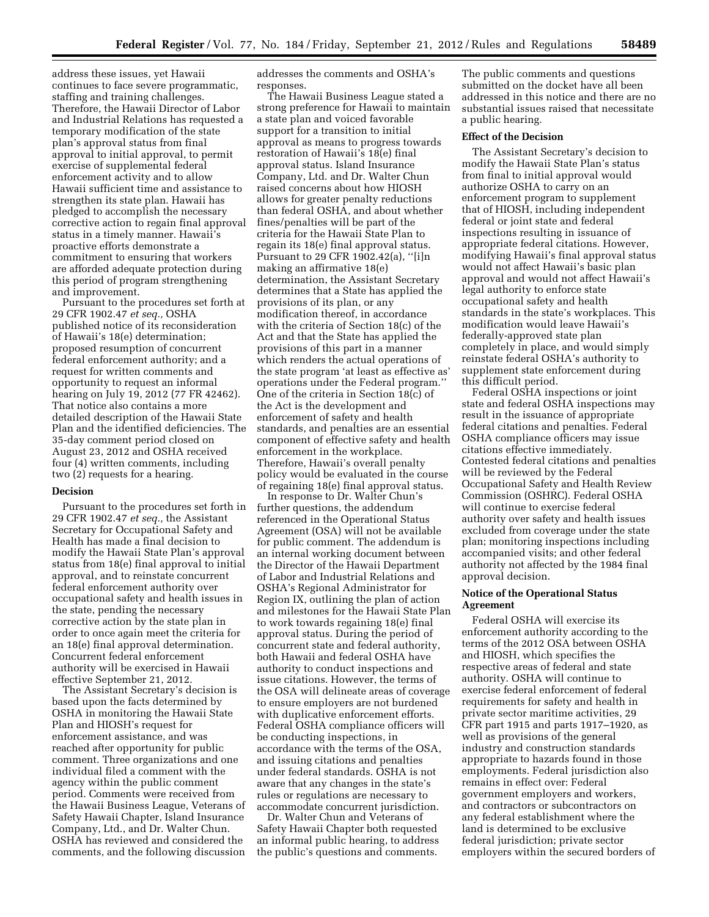address these issues, yet Hawaii continues to face severe programmatic, staffing and training challenges. Therefore, the Hawaii Director of Labor and Industrial Relations has requested a temporary modification of the state plan's approval status from final approval to initial approval, to permit exercise of supplemental federal enforcement activity and to allow Hawaii sufficient time and assistance to strengthen its state plan. Hawaii has pledged to accomplish the necessary corrective action to regain final approval status in a timely manner. Hawaii's proactive efforts demonstrate a commitment to ensuring that workers are afforded adequate protection during this period of program strengthening and improvement.

Pursuant to the procedures set forth at 29 CFR 1902.47 *et seq.,* OSHA published notice of its reconsideration of Hawaii's 18(e) determination; proposed resumption of concurrent federal enforcement authority; and a request for written comments and opportunity to request an informal hearing on July 19, 2012 (77 FR 42462). That notice also contains a more detailed description of the Hawaii State Plan and the identified deficiencies. The 35-day comment period closed on August 23, 2012 and OSHA received four (4) written comments, including two (2) requests for a hearing.

## **Decision**

Pursuant to the procedures set forth in 29 CFR 1902.47 *et seq.,* the Assistant Secretary for Occupational Safety and Health has made a final decision to modify the Hawaii State Plan's approval status from 18(e) final approval to initial approval, and to reinstate concurrent federal enforcement authority over occupational safety and health issues in the state, pending the necessary corrective action by the state plan in order to once again meet the criteria for an 18(e) final approval determination. Concurrent federal enforcement authority will be exercised in Hawaii effective September 21, 2012.

The Assistant Secretary's decision is based upon the facts determined by OSHA in monitoring the Hawaii State Plan and HIOSH's request for enforcement assistance, and was reached after opportunity for public comment. Three organizations and one individual filed a comment with the agency within the public comment period. Comments were received from the Hawaii Business League, Veterans of Safety Hawaii Chapter, Island Insurance Company, Ltd., and Dr. Walter Chun. OSHA has reviewed and considered the comments, and the following discussion

addresses the comments and OSHA's responses.

The Hawaii Business League stated a strong preference for Hawaii to maintain a state plan and voiced favorable support for a transition to initial approval as means to progress towards restoration of Hawaii's 18(e) final approval status. Island Insurance Company, Ltd. and Dr. Walter Chun raised concerns about how HIOSH allows for greater penalty reductions than federal OSHA, and about whether fines/penalties will be part of the criteria for the Hawaii State Plan to regain its 18(e) final approval status. Pursuant to 29 CFR 1902.42(a), ''[i]n making an affirmative 18(e) determination, the Assistant Secretary determines that a State has applied the provisions of its plan, or any modification thereof, in accordance with the criteria of Section 18(c) of the Act and that the State has applied the provisions of this part in a manner which renders the actual operations of the state program 'at least as effective as' operations under the Federal program.'' One of the criteria in Section 18(c) of the Act is the development and enforcement of safety and health standards, and penalties are an essential component of effective safety and health enforcement in the workplace. Therefore, Hawaii's overall penalty policy would be evaluated in the course of regaining 18(e) final approval status.

In response to Dr. Walter Chun's further questions, the addendum referenced in the Operational Status Agreement (OSA) will not be available for public comment. The addendum is an internal working document between the Director of the Hawaii Department of Labor and Industrial Relations and OSHA's Regional Administrator for Region IX, outlining the plan of action and milestones for the Hawaii State Plan to work towards regaining 18(e) final approval status. During the period of concurrent state and federal authority, both Hawaii and federal OSHA have authority to conduct inspections and issue citations. However, the terms of the OSA will delineate areas of coverage to ensure employers are not burdened with duplicative enforcement efforts. Federal OSHA compliance officers will be conducting inspections, in accordance with the terms of the OSA, and issuing citations and penalties under federal standards. OSHA is not aware that any changes in the state's rules or regulations are necessary to accommodate concurrent jurisdiction.

Dr. Walter Chun and Veterans of Safety Hawaii Chapter both requested an informal public hearing, to address the public's questions and comments.

The public comments and questions submitted on the docket have all been addressed in this notice and there are no substantial issues raised that necessitate a public hearing.

### **Effect of the Decision**

The Assistant Secretary's decision to modify the Hawaii State Plan's status from final to initial approval would authorize OSHA to carry on an enforcement program to supplement that of HIOSH, including independent federal or joint state and federal inspections resulting in issuance of appropriate federal citations. However, modifying Hawaii's final approval status would not affect Hawaii's basic plan approval and would not affect Hawaii's legal authority to enforce state occupational safety and health standards in the state's workplaces. This modification would leave Hawaii's federally-approved state plan completely in place, and would simply reinstate federal OSHA's authority to supplement state enforcement during this difficult period.

Federal OSHA inspections or joint state and federal OSHA inspections may result in the issuance of appropriate federal citations and penalties. Federal OSHA compliance officers may issue citations effective immediately. Contested federal citations and penalties will be reviewed by the Federal Occupational Safety and Health Review Commission (OSHRC). Federal OSHA will continue to exercise federal authority over safety and health issues excluded from coverage under the state plan; monitoring inspections including accompanied visits; and other federal authority not affected by the 1984 final approval decision.

## **Notice of the Operational Status Agreement**

Federal OSHA will exercise its enforcement authority according to the terms of the 2012 OSA between OSHA and HIOSH, which specifies the respective areas of federal and state authority. OSHA will continue to exercise federal enforcement of federal requirements for safety and health in private sector maritime activities, 29 CFR part 1915 and parts 1917–1920, as well as provisions of the general industry and construction standards appropriate to hazards found in those employments. Federal jurisdiction also remains in effect over: Federal government employers and workers, and contractors or subcontractors on any federal establishment where the land is determined to be exclusive federal jurisdiction; private sector employers within the secured borders of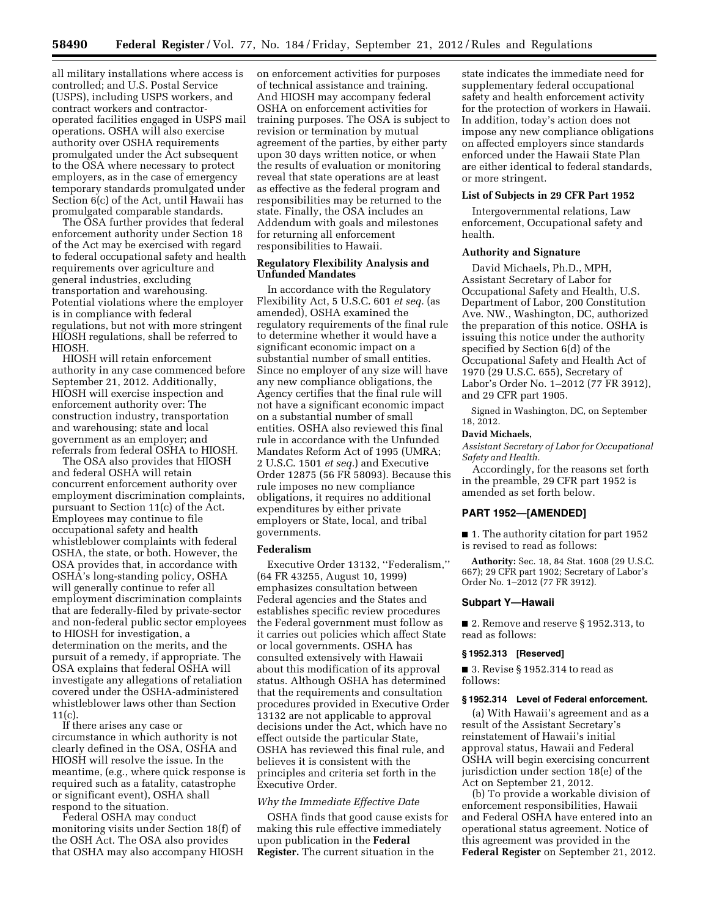all military installations where access is controlled; and U.S. Postal Service (USPS), including USPS workers, and contract workers and contractoroperated facilities engaged in USPS mail operations. OSHA will also exercise authority over OSHA requirements promulgated under the Act subsequent to the OSA where necessary to protect employers, as in the case of emergency temporary standards promulgated under Section 6(c) of the Act, until Hawaii has promulgated comparable standards.

The OSA further provides that federal enforcement authority under Section 18 of the Act may be exercised with regard to federal occupational safety and health requirements over agriculture and general industries, excluding transportation and warehousing. Potential violations where the employer is in compliance with federal regulations, but not with more stringent HIOSH regulations, shall be referred to HIOSH.

HIOSH will retain enforcement authority in any case commenced before September 21, 2012. Additionally, HIOSH will exercise inspection and enforcement authority over: The construction industry, transportation and warehousing; state and local government as an employer; and referrals from federal OSHA to HIOSH.

The OSA also provides that HIOSH and federal OSHA will retain concurrent enforcement authority over employment discrimination complaints, pursuant to Section 11(c) of the Act. Employees may continue to file occupational safety and health whistleblower complaints with federal OSHA, the state, or both. However, the OSA provides that, in accordance with OSHA's long-standing policy, OSHA will generally continue to refer all employment discrimination complaints that are federally-filed by private-sector and non-federal public sector employees to HIOSH for investigation, a determination on the merits, and the pursuit of a remedy, if appropriate. The OSA explains that federal OSHA will investigate any allegations of retaliation covered under the OSHA-administered whistleblower laws other than Section 11(c).

If there arises any case or circumstance in which authority is not clearly defined in the OSA, OSHA and HIOSH will resolve the issue. In the meantime, (e.g., where quick response is required such as a fatality, catastrophe or significant event), OSHA shall respond to the situation.

Federal OSHA may conduct monitoring visits under Section 18(f) of the OSH Act. The OSA also provides that OSHA may also accompany HIOSH

on enforcement activities for purposes of technical assistance and training. And HIOSH may accompany federal OSHA on enforcement activities for training purposes. The OSA is subject to revision or termination by mutual agreement of the parties, by either party upon 30 days written notice, or when the results of evaluation or monitoring reveal that state operations are at least as effective as the federal program and responsibilities may be returned to the state. Finally, the OSA includes an Addendum with goals and milestones for returning all enforcement responsibilities to Hawaii.

## **Regulatory Flexibility Analysis and Unfunded Mandates**

In accordance with the Regulatory Flexibility Act, 5 U.S.C. 601 *et seq.* (as amended), OSHA examined the regulatory requirements of the final rule to determine whether it would have a significant economic impact on a substantial number of small entities. Since no employer of any size will have any new compliance obligations, the Agency certifies that the final rule will not have a significant economic impact on a substantial number of small entities. OSHA also reviewed this final rule in accordance with the Unfunded Mandates Reform Act of 1995 (UMRA; 2 U.S.C. 1501 *et seq.*) and Executive Order 12875 (56 FR 58093). Because this rule imposes no new compliance obligations, it requires no additional expenditures by either private employers or State, local, and tribal governments.

## **Federalism**

Executive Order 13132, ''Federalism,'' (64 FR 43255, August 10, 1999) emphasizes consultation between Federal agencies and the States and establishes specific review procedures the Federal government must follow as it carries out policies which affect State or local governments. OSHA has consulted extensively with Hawaii about this modification of its approval status. Although OSHA has determined that the requirements and consultation procedures provided in Executive Order 13132 are not applicable to approval decisions under the Act, which have no effect outside the particular State, OSHA has reviewed this final rule, and believes it is consistent with the principles and criteria set forth in the Executive Order.

#### *Why the Immediate Effective Date*

OSHA finds that good cause exists for making this rule effective immediately upon publication in the **Federal Register.** The current situation in the

state indicates the immediate need for supplementary federal occupational safety and health enforcement activity for the protection of workers in Hawaii. In addition, today's action does not impose any new compliance obligations on affected employers since standards enforced under the Hawaii State Plan are either identical to federal standards, or more stringent.

# **List of Subjects in 29 CFR Part 1952**

Intergovernmental relations, Law enforcement, Occupational safety and health.

#### **Authority and Signature**

David Michaels, Ph.D., MPH, Assistant Secretary of Labor for Occupational Safety and Health, U.S. Department of Labor, 200 Constitution Ave. NW., Washington, DC, authorized the preparation of this notice. OSHA is issuing this notice under the authority specified by Section 6(d) of the Occupational Safety and Health Act of 1970 (29 U.S.C. 655), Secretary of Labor's Order No. 1–2012 (77 FR 3912), and 29 CFR part 1905.

Signed in Washington, DC, on September 18, 2012.

## **David Michaels,**

*Assistant Secretary of Labor for Occupational Safety and Health.* 

Accordingly, for the reasons set forth in the preamble, 29 CFR part 1952 is amended as set forth below.

### **PART 1952—[AMENDED]**

■ 1. The authority citation for part 1952 is revised to read as follows:

**Authority:** Sec. 18, 84 Stat. 1608 (29 U.S.C. 667); 29 CFR part 1902; Secretary of Labor's Order No. 1–2012 (77 FR 3912).

#### **Subpart Y—Hawaii**

■ 2. Remove and reserve § 1952.313, to read as follows:

#### **§ 1952.313 [Reserved]**

■ 3. Revise § 1952.314 to read as follows:

### **§ 1952.314 Level of Federal enforcement.**

(a) With Hawaii's agreement and as a result of the Assistant Secretary's reinstatement of Hawaii's initial approval status, Hawaii and Federal OSHA will begin exercising concurrent jurisdiction under section 18(e) of the Act on September 21, 2012.

(b) To provide a workable division of enforcement responsibilities, Hawaii and Federal OSHA have entered into an operational status agreement. Notice of this agreement was provided in the **Federal Register** on September 21, 2012.